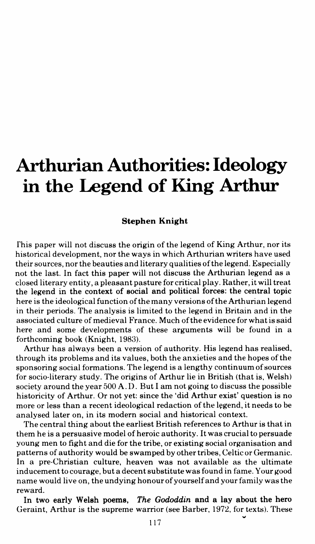## **Arthurian Authorities: Ideology in the Legend of King Arthur**

## **Stephen Knight**

fhis paper will not discuss the origin of the legend of King Arthur, nor its historical development, nor the ways in which Arthurian writers have used their sources, nor the beauties and literary qualities of the legend. Especially not the last. In fact this paper will not discuss the Arthurian legend as a closed literary entity, a pleasant pasture for critical play. Rather, it will treat the legend in the context of social and political forces: the central topic here is the ideological function of the many versions of the Arthurian legend in their periods. The analysis is limited to the legend in Britain and in the associated culture of medieval France. Much of the evidence for what is said here and some developments of these arguments will be found in a forthcoming book (Knight, 1983).

Arthur has always been a version of authority. His legend has realised. through its problems and its values, both the anxieties and the hopes of the sponsoring social formations. The legend is a lengthy continuum of sources for socio-literary study. The origins of Arthur lie in British (that is, Welsh) society around the year 500 A.D. But I am not going to discuss the possible historicity of Arthur. Or not yet: since the 'did Arthur exist' question is no more or less than a recent ideological redaction of the legend, it needs to be analysed later on, in its modern social and historical context.

The central thing about the earliest British references to Arthur is that in them he is a persuasive model of heroic authority. It was crucial to persuade young men to fight and die for the tribe, or existing social organisation and patterns of authority would be swamped by other tribes, Celtic or Germanic. In a pre-Christian culture, heaven was not available as the ultimate inducement to courage, but a decent substitute was found in fame. Your good name would live on, the undying honour of yourself and your family was the reward.

In two early Welsh poems, *The Gododdin* and a lay about the hero Geraint, Arthur is the supreme warrior (see Barber, 1972, for texts). These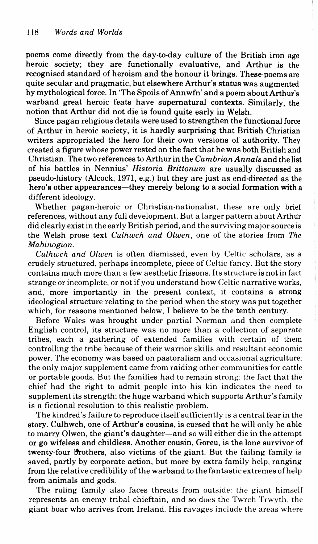poems come directly from the day-to-day culture of the British iron age heroic society; they are functionally evaluative, and Arthur is the recognised standard of heroism and the honour it brings. These poems are quite secular and pragmatic, but elsewhere Arthur's status was augmented by mythological force. In 'The Spoils of Annwfn' and a poem about Arthur's warband great heroic feats have supernatural contexts. Similarly, the notion that Arthur did not die is found quite early in Welsh.

Since pagan religious details were used to strengthen the functional force of Arthur in heroic society, it is hardly surprising that British Christian writers appropriated the hero for their own versions of authority. They created a figure whose power rested on the fact that he was both British and Christian. The two references to Arthur in the *Cambrian Annals* and the list of his battles in Nennius' *Historia Brittonum* are usually discussed as pseudo-history (Alcock, 1971, e.g.) but they are just as end-directed as the hero's other appearances—they merely belong to a social formation with a different ideology.

Whether pagan-heroic or Christian-nationalist, these are only brief references, without any full development. But a larger pattern about Arthur did clearly exist in the early British period, and the surviving major source is the Welsh prose text *Culhwch and Olwen,* one of the stories from *The Mabinogion.* 

*Culhwch and Olwen* is often dismissed, even by Celtic scholars, as a crudely structured, perhaps incomplete, piece of Celtic fancy. But the story contains much more than a few aesthetic frissons. Its structure is not in fact strange or incomplete, or not if you understand how Celtic narrative works, and, more importantly in the present context, it contains a strong ideological structure relating to the period when the story was put together which, for reasons mentioned below, I believe to be the tenth century.

Before Wales was brought under partial Norman and then complete English control, its structure was no more than a collection of separate tribes, each a gathering of extended families with certain of them controlling the tribe because of their warrior skills and resultant economic power. The economy was based on pastoralism and occasional agriculture; the only major supplement came from raiding other communities for cattle or portable goods. But the families had to remain strong: the fact that the chief had the right to admit people into his kin indicates the need to supplement its strength; the huge warband which supports Arthur's family is a fictional resolution to this realistic problem.

The kindred's failure to reproduce itself sufficiently is a central fear in the story. Culhwch, one of Arthur's cousins, is cursed that he will only be able to marry Olwen, the giant's daughter-and so will either die in the attempt or go wifeless and childless. Another cousin, Goreu, is the lone survivor of twenty-four brothers, also victims of the giant. But the failing family is saved, partly by corporate action, but more by extra-family help, ranging from the relative credibility of the warband to the fantastic extremes of help from animals and gods.

The ruling family also faces threats from outside: the giant himself represents an enemy tribal chieftain, and so does the Twrch Trwyth, the giant boar who arrives from Ireland. His ravages include the areas where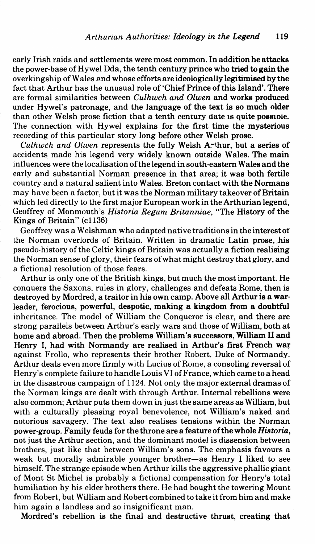early Irish raids and settlements were most common. In addition he attacks the power-base of Hywel Dda, the tenth century prince who tried to gain the overkingship of Wales and whose efforts are ideologically legitimised by the fact that Arthur has the unusual role of 'Chief Prince of this Island'. There are formal similarities between *Culhwch and Olwen* and works produced under Hywel's patronage, and the language of the text is so much older than other Welsh prose fiction that a tenth century date is quite possible. The connection with Hywel explains for the first time the mysterious recording of this particular story long before other Welsh prose.

*Culhwch and Olwen* represents the fully Welsh A-thur, but a series of accidents made his legend very widely known outside Wales. The main influences were the localisation of the legend in south-eastern Wales and the early and substantial Norman presence in that area; it was both fertile country and a natural salient into Wales. Breton contact with the Normans may have been a factor, but it was the Norman military takeover of Britain which led directly to the first major European work in the Arthurian legend, Geoffrey of Monmouth's *Historia Regum Britanniae*, "The History of the Kings of Britain" (c1136)

Geoffrey was a Welshman who adapted native traditions in theinterestof the Norman overlords of Britain. Written in dramatic Latin prose, his pseudo-history of the Celtic kings of Britain was actually a fiction realising the Norman sense of glory, their fears of what might destroy that glory, and a fictional resolution of those fears.

Arthur is only one of the British kings, but much the most important. He conquers the Saxons, rules in glory, challenges and defeats Rome, then is destroyed by Mordred, a traitor in his own camp. Above all Arthur is a warleader, ferocious, powerful, despotic, making a kingdom from a doubtful inheritance. The model of William the Conqueror is clear, and there are strong parallels between Arthur's early wars and those of William, both at home and abroad. Then the problems William's successors, William II and Henry I, had with Normandy are realised in Arthur's first French war against Frollo, who represents their brother Robert, Duke of Normandy. Arthur deals even more firmly with Lucius of Rome, a consoling reversal of Henry's complete failure to handle Louis VI of France, which came to a head in the disastrous campaign of 1124. Not only the major external dramas of the Norman kings are dealt with through Arthur. Internal rebellions were also common; Arthur puts them down in just the same areas as William, but with a culturally pleasing royal benevolence, not William's naked and notorious savagery. The text also realises tensions within the Norman power-group. Family feuds for the throne are a feature ofthe whole *Historia,*  not just the Arthur section, and the dominant model is dissension between brothers, just like that between William's sons. The emphasis favours a weak but morally admirable younger brother—as Henry I liked to see himself. The strange episode when Arthur kills the aggressive phallic giant of Mont St Michel is probably a fictional compensation for Henry's total humiliation by his elder brothers there. He had bought the towering Mount from Robert, but William and Robert combined to take it from him and make him again a landless and so insignificant man.

Mordred's rebellion is the final and destructive thrust, creating that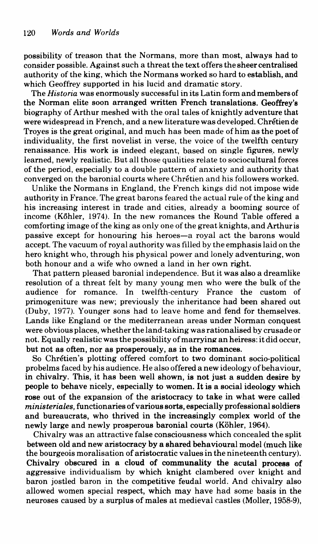possibility of treason that the Normans, more than most, always had to consider possible. Against such a threat the text offers the sheer centralised authority of the king, which the Normans worked so hard to establish, and which Geoffrey supported in his lucid and dramatic story.

The *His to ria* was enormously successful in its Latin form and members of the Norman elite soon arranged written French translations. Geoffrey's biography of Arthur meshed with the oral tales of knightly adventure that were widespread in French, and a new literature was developed. Chretien de Troyes is the great original, and much has been made of him as the poet of individuality, the first novelist in verse, the voice of the twelfth century renaissance. His work is indeed elegant, based on single figures, newly learned, newly realistic. But all those qualities relate to sociocultural forces of the period, especially to a double pattern of anxiety and authority that converged on the baronial courts where Chretien and his followers worked.

Unlike the Normans in England, the French kings did not impose wide authority in France. The great barons feared the actual rule of the king and his increasing interest in trade and cities, already a booming source of income (Köhler, 1974). In the new romances the Round Table offered a comforting image of the king as only one of the great knights, and Arthur is passive except for honouring his heroes-a royal act the barons would accept. The vacuum of royal authority was filled by the emphasis laid on the hero knight who, through his physical power and lonely adventuring, won both honour and a wife who owned a land in her own right.

That pattern pleased baronial independence. But it was also a dreamlike resolution of a threat felt by many young men who were the bulk of the audience for romance. In twelfth-century France the custom of primogeniture was new; previously the inheritance had been shared out (Duby, 1977). Younger sons had to leave home and fend for themselves. Lands like England or the mediterranean areas under Norman conquest were obvious places, whether the land-taking was rationalised by crusade or not. Equally realistic was the possibility of marrying an heiress: it did occur, but not as often, nor as prosperously, as in the romances.

So Chretien's plotting offered comfort to two dominant socio-political probelms faced by his audience. He also offered a new ideology of behaviour, in chivalry. This, it has been well shown, is not just a sudden desire by people to behave nicely, especially to women. It is a social ideology which rose out of the expansion of the aristocracy to take in what were called *ministeriales,* functionaries of various sorts, especially professional soldiers and bureaucrats, who thrived in the increasingly complex world of the newly large and newly prosperous baronial courts (Köhler, 1964).

Chivalry was an attractive false consciousness which concealed the split between old and new aristocracy by a shared behavioural model (much like the bourgeois moralisation of aristocratic values in the nineteenth century). Chivalry obscured in a cloud of communality the acutal process of aggressive individualism by which knight clambered over knight and baron jostled baron in the competitive feudal world. And chivalry also allowed women special respect, which may have had some basis in the neuroses caused by a surplus of males at medieval castles (Moller, 1958-9),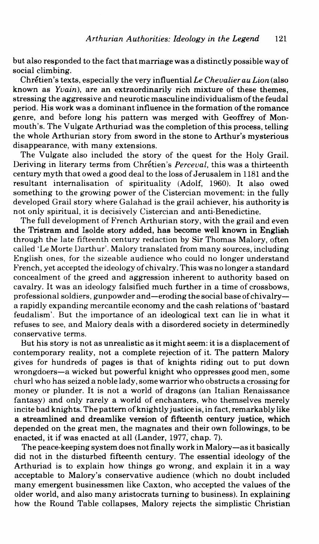but also responded to the fact that marriage was a distinctly possible way of social climbing.

Chretien's texts, especially the very influential *Le Chevalier au Lion* (also known as *Yvain),* are an extraordinarily rich mixture of these themes, stressing the aggressive and neurotic masculine individualism of the feudal period. His work was a dominant influence in the formation of the romance genre, and before long his pattern was merged with Geoffrey of Monmouth's. The Vulgate Arthuriad was the completion of this process, telling the whole Arthurian story from sword in the stone to Arthur's mysterious disappearance, with many extensions.

The Vulgate also included the story of the quest for the Holy Grail. Deriving in literary terms from Chretien's *Perceval,* this was a thirteenth century myth that owed a good deal to the loss of Jerusalem in 1181 and the resultant internalisation of spirituality (Adolf, 1960). It also owed something to the growing power of the Cistercian movement: in the fully developed Grail story where Galahad is the grail achiever, his authority is not only spiritual, it is decisively Cistercian and anti-Benedictine.

The full development of French Arthurian story, with the grail and even the Tristram and Isolde story added, has become well known in English through the late fifteenth century redaction by Sir Thomas Malory, often called 'Le Morte Darthur'. Malory translated from many sources, including English ones, for the sizeable audience who could no longer understand French, yet accepted the ideology of chivalry. This was no longer a standard concealment of the greed and aggression inherent to authority based on cavalry. It was an ideology falsified much further in a time of crossbows, professional soldiers, gunpowder and-eroding the social base of chivalrya rapidly expanding mercantile economy and the cash relations of 'bastard feudalism'. But the importance of an ideological text can lie in what it refuses to see, and Malory deals with a disordered society in determinedly conservative terms.

But his story is not as unrealistic as it might seem: it is a displacement of contemporary reality, not a complete rejection of it. The pattern Malory gives for hundreds of pages is that of knights riding out to put down wrongdoers-a wicked but powerful knight who oppresses good men, some ch uri who has seized a noble lady, some warrior who obstructs a crossing for money or plunder. It is not a world of dragons (an Italian Renaissance fantasy) and only rarely a world of enchanters, who themselves merely incite bad knights. The pattern of knightly justice is, in fact, remarkably like a streamlined and dreamlike version of fifteenth century justice, which depended on the great men, the magnates and their own followings, to be enacted, it if was enacted at all (Lander, 1977; chap. 7).

The peace-keeping system does not finally work in Malory-as it basically did not in the disturbed fifteenth century. The essential ideology of the Arthuriad is to explain how things go wrong, and explain it in a way acceptable to Malory's conservative audience (which no doubt included many emergent businessmen like Caxton, who accepted the values of the older world, and also many aristocrats turning to business). In explaining how the Round Table collapses, Malory rejects the simplistic Christian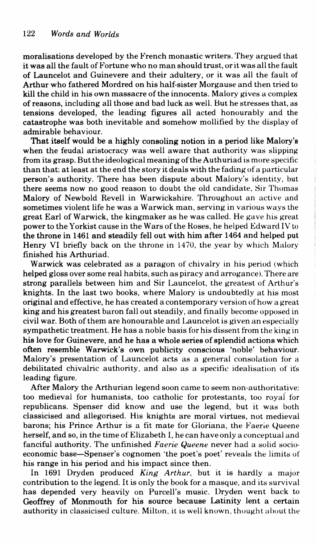moralisations developed by the French monastic writers. They argued that it was all the fault of Fortune who no man should trust, or it was all the fault of Launcelot and Guinevere and their adultery, or it was all the fault of Arthur who fathered Mordred on his half-sister Morgause and then tried to kill the child in his own massacre of the innocents. Malory gives a complex of reasons, including all those and bad luck as well. But he stresses that, as tensions developed, the leading figures all acted honourably and the catastrophe was both inevitable and somehow mollified by the display of admirable behaviour.

That itself would be a highly consoling notion in a period like Malory's when the feudal aristocracy was well aware that authority was slipping from its grasp. But the ideological meaning of the Authuriad is more specific than that: at least at the end the story it deals with the fading of a particular person's authority. There has been dispute about Malory's identity, but there seems now no good reason to doubt the old candidate, Sir Thomas Malory of Newbold Revell in Warwickshire. Throughout an active and sometimes violent life he was a Warwick man, serving in various ways the great Earl of Warwick, the kingmaker as he was called. He gave his great power to the Yorkist cause in the Wars of the Roses, he helped Edward IV to the throne in 1461 and steadily fell out with him after 1464 and helped put Henry VI briefly back on the throne in 1470, the year by which Malory finished his Arthuriad.

Warwick was celebrated as a paragon of chivalry in his period (which helped gloss over some real habits, such as piracy and arrogance). There are strong parallels between him and Sir Launcelot, the greatest of Arthur's knights. In the last two books, where Malory is undoubtedly at his most original and effective, he has created a contemporary version of how a great king and his greatest baron fall out steadily, and finally become opposed in civil war. Both of them are honourable and Launcelot is given an especially sympathetic treatment. He has a noble basis for his dissent from the king in his love for Guinevere, and he has a whole series of splendid actions which often resemble Warwick's own publicity conscious 'noble' behaviour. Malory's presentation of Launcelot acts as a general consolation for a debilitated chivalric authority, and also as a specific idealisation of its leading figure.

After Malory the Arthurian legend soon came to seem non-authoritative: too medieval for humanists, too catholic for protestants, too royai for republicans. Spenser did know and use the legend, but it was both classicised and allegorised. His knights are moral virtues, not medieval barons; his Prince Arthur is a fit mate for Gloriana, the Faerie Queene herself, and so, in the time of Elizabeth I, he can have only a conceptual and fanciful authority. The unfinished *Faerie Queene* never had a solid socioeconomic base-Spenser's cognomen 'the poet's poet' reveals the limits of his range in his period and his impact since then.

In 1691 Dryden produced *King Arthur,* but it is hardly a major contribution to the legend. It is only the book for a masque, and its survival has depended very heavily on Purcell's music. Dryden went back to Geoffrey of Monmouth for his source because Latinity lent a certain authority in classicised culture. Milton. it is well known. thought about the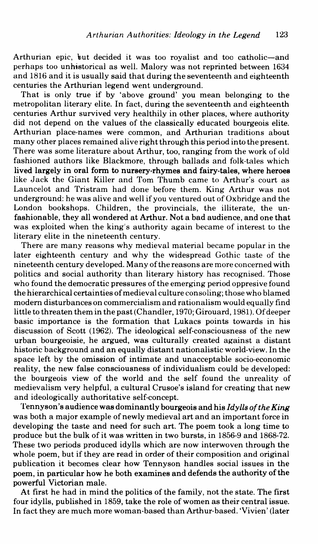Arthurian epic, but decided it was too royalist and toe catholic-and perhaps too unhistorical as well. Malory was not reprinted between 1634 and 1816 and it is usually said that during the seventeenth and eighteenth centuries the Arthurian legend went underground.

That is only true if by 'above ground' you mean belonging to the metropolitan literary elite. In fact, during the seventeenth and eighteenth centuries Arthur survived very healthily in other places, where authority did not depend on the values of the classically educated bourgeois elite. Arthurian place-names were common, and Arthurian traditions about many other places remained alive right through this period into the present. There was some literature about Arthur, too, ranging from the work of old fashioned authors like Blackmore, through ballads and folk-tales which lived largely in oral form to nursery-rhymes and fairy-tales, where heroes like Jack the Giant Killer and Tom Thumb came to Arthur's court as Launcelot and Tristram had done before them. King Arthur was not underground: he was alive and well if you ventured out of Oxbridge and the London bookshops. Children, the provincials, the illiterate, the unfashionable, they all wondered at Arthur. Not a bad audience, and one that was exploited when the king's authority again became of interest to the literary elite in the nineteenth century.

There are many reasons why medieval material became popular in the later eighteenth century and why the widespread Gothic taste of the nineteenth century developed. Many of the reasons are more concerned with politics and social authority than literary history has recognised. Those who found the democratic pressures of the emerging period oppresive found the hierarchical certainties of medieval culture consoling; those who blamed modem disturbances on commercialism and rationalism would equally find little to threaten them in the past (Chandler, 1970; Girouard, 1981). Of deeper basic importance is the formation that Lukacs points towards in his discussion of Scott (1962). The ideological self-consciousness of the new urban bourgeoisie, he argued, was culturally created against a distant historic background and an equally distant nationalistic world-view. In the space left by the omission of intimate and unacceptable socio-economic reality, the new false consciousness of individualism could be developed: the bourgeois view of the world and the self found the unreality of medievalism very helpful, a cultural Crusoe's island for creating that new and ideologically authoritative self-concept.

Tennyson's audience was dominantly bourgeois and his *Idylls of the King*  was both a major example of newly medieval art and an important force in developing the taste and need for such art. The poem took a long time to produce but the bulk of it was written in two bursts, in 1856-9 and 1868-72. These two periods produced idylls which are now interwoven through the whole poem, but if they are read in order of their composition and original publication it becomes clear how Tennyson handles social issues in the poem, in particular how he both examines and defends the authority of the powerful Victorian male.

At first he had in mind the politics of the family, not the state. The first four idylls, published in 1859, take the role of women as their central issue. In fact they are much more woman-based than Arthur-based. 'Vivien' (later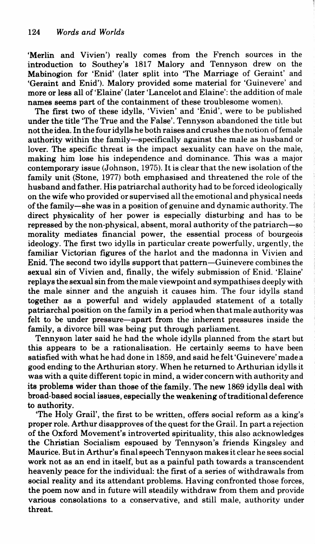'Merlin and Vivien') really comes from the French sources in the introduction to Southey's 1817 Malory and Tennyson drew on the Mabinogion for 'Enid' (later split into 'The Marriage of Geraint' and 'Geraint and Enid'). Malory provided some material for 'Guinevere' and more or less all of 'Elaine' (later 'Lancelot and Elaine': the addition of male names seems part of the containment of these troublesome women).

The first two of these idylls, 'Vivien' and 'Enid', were to be published under the title 'The True and the False'. Tennyson abandoned the title but not the idea. In the four idylls he both raises and crushes the notion of female authority within the family-specifically against the male as husband or lover. The specific threat is the impact sexuality can have on the male, making him lose his independence and dominance. This was a major contemporary issue (Johnson, 1975). It is clear that the new isolation of the family unit (Stone, 1977) both emphasised and threatened the role of the husband and father. His patriarchal authority had to be forced ideologically on the wife who provided or supervised all the emotional and physical needs of the family-she was in a position of genuine and dynamic authority. The direct physicality of her power is especially disturbing and has to be repressed by the non-physical, absent, moral authority of the patriarch-so morality mediates financial power, the essential process of bourgeois ideology. The first two idylls in particular create powerfully, urgently, the familiar Victorian figures of the harlot and the madonna in Vivien and Enid. The second two idylls support that pattern-Guinevere combines the sexual sin of Vivien and, finally, the wifely submission of Enid. 'Elaine' replays the sexual sin from the male viewpoint and sympathises deeply with the male sinner and the anguish it causes him. The four idylls stand together as a powerful and widely applauded statement of a totally patriarchal position on the family in a period when that male authority was felt to be under pressure-apart from the inherent pressures inside the family, a divorce bill was being put through parliament.

Tennyson later said he had the whole idylls planned from the start but this appears to be a rationalisation. He certainly seems to have been satisfied with what he had done in 1859, and said he felt 'Guinevere' made a good ending to the Arthurian story. When he returned to Arthurian idylls it was with a quite different topic in mind, a wider concern with authority and its problems wider than those of the family. The new 1869 idylls deal with broad-based social issues, especially the weakening of traditional deference to authority.

'The Holy Grail', the first to be written, offers social reform as a king's proper role. Arthur disapproves of the quest for the Grail. In part a rejection of the Oxford Movement's introverted spirituality, this also acknowledges the Christian Socialism espoused by Tennyson's friends Kingsley and Maurice. But in Arthur's final speech Tennyson makes it clear he sees social work not as an end in itself, but as a painful path towards a transcendent heavenly peace for the individual: the first of a series of withdrawals from social reality and its attendant problems. Having confronted those forces, the poem now and in future will steadily withdraw from them and provide various consolations to a conservative, and still male, authority under threat.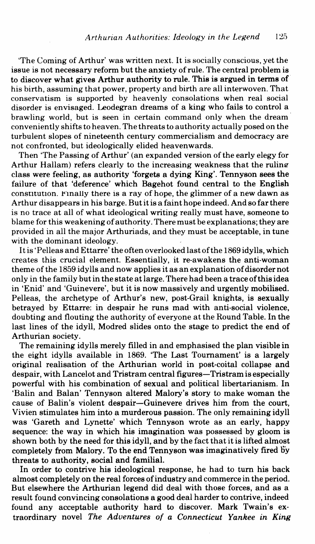'The Coming of Arthur' was written next. It is socially conscious, yet the issue is not necessary reform but the anxiety of rule. The central problem is to discover what gives Arthur authority to rule. This is argued in terms of his birth, assuming that power, property and birth are all interwoven. That conservatism is supported by heavenly consolations when real social disorder is envisaged. Leodegran dreams of a king who fails to control a brawling world, but is seen in certain command only when the dream conveniently shifts to heaven. The threats to authority actually posed on the turbulent slopes of nineteenth century commercialism and democracy are not confronted, but ideologically elided heavenwards.

Then 'The Passing of Arthur' (an expanded version of the early elegy for Arthur Hallam) refers clearly to the increasing weakness that the rulineclass were feeling, as authority 'forgets a dying King'. Tennyson sees the failure of that 'deference' which Bagehot found central to the English constitution. Finally there is a ray of hope, the glimmer of a new dawn as Arthur disappears in his barge. Butitis a faint hope indeed. And so far there is no trace at all of what ideological writing really must have, someone to blame for this weakening of authority. There must be explanations; they are provided in all the major Arthuriads, and they must be acceptable, in tune with the dominant ideology.

It is' Pelleas and Ettarre' the often overlooked last of the 1869 idylls, which creates this crucial element. Essentially, it re-awakens the anti-woman theme of the 1859 idylls and now applies it as an explanation of disorder not only in the family but in the state at large. There had been a traceofthisidea in 'Enid' and 'Guinevere', but it is now massively and urgently mobilised. Pelleas, the archetype of Arthur's new, post-Grail knights, is sexually betrayed by Ettarre: in despair he runs mad with anti-social violence, doubting and flouting the authority of everyone at the Round Table. In the last lines of the idyll, Modred slides onto the stage to predict the end of Arthurian society.

The remaining idylls merely filled in and emphasised the plan visible in the eight idylls available in 1869. 'The Last Tournament' is a largely original realisation of the Arthurian world in post-coital collapse and despair, with Lancelot and Tristram central figures-Tristram is especially powerful with his combination of sexual and political libertarianism. In 'Balin and Balan' Tennyson altered Malory's story to make woman the cause of Balin's violent despair-Guinevere drives him from the court, Vivien stimulates him into a murderous passion. The only remaining idyll was 'Gareth and Lynette' which Tennyson wrote as an early, happy sequence: the way in which his imagination was possessed by gloom is shown both by the need for this idyll, and by the fact that it is lifted almost completely from Malory. To the end Tennyson was imaginatively fired by threats to authority, social and familial.

In order to contrive his ideological response, he had to tum his back almost completely on the real forces of industry and commerce in the period. But elsewhere the Arthurian legend did deal with those forces, and as a result found convincing consolations a good deal harder to contrive, indeed found any acceptable authority hard to discover. Mark Twain's extraordinary novel *The Adventures of a Connecticut Yankee in King*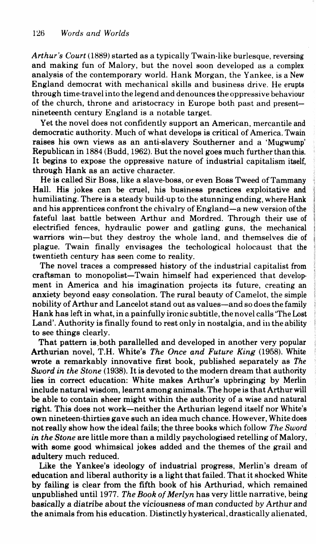*Arthur's Court* (1889) started as a typically Twain-like burlesque, reversing and making fun of Malory, but the novel soon developed as a complex analysis of the contemporary world. Hank Morgan, the Yankee, is a New England democrat with mechanical skills and business drive. He erupts through time-travel into the legend and denounces the oppressive behaviour of the church, throne and aristocracy in Europe both past and presentnineteenth century England is a notable target.

Yet the novel does not confidently support an American, mercantile and democratic authority. Much of what develops is critical of America. Twain raises his own views as an anti-slavery Southerner and a 'Mugwump' Republican in 1884 (Budd, 1962). But the novel goes much further than this. It begins to expose the oppressive nature of industrial capitalism itself, through Hank as an active character.

He is called Sir Boss, like a slave-boss, or even Boss Tweed of Tammany Hall. His jokes can be cruel, his business practices exploitative and humiliating. There is a steady build-up to the stunning ending, where Hank and his apprentices confront the chivalry of England-a new version of the fateful last battle between Arthur and Mordred. Through their use of electrified fences, hydraulic power and gatling guns, the mechanical warriors win-but they destroy the whole land, and themselves die of plague. Twain finally envisages the techological holocaust that the twentieth century has seen come to reality.

The novel traces a compressed history of the industrial capitalist from craftsman to monopolist-Twain himself had experienced that development in America and his imagination projects its future, creating an anxiety beyond easy consolation. The rural beauty of Camelot, the simple nobility of Arthur and Lancelot stand out as values-and so does the family Hank has left in what, in a painfully ironic subtitle, the novel calls 'The Lost Land'. Authority is finally found to rest only in nostalgia, and in the ability to see things clearly.

That pattern is.both parallelled and developed in another very popular Arthurian novel, T.H. White's *The Once and Future King* (1958). White wrote a remarkably innovative first book, published separately as *The Sword in the Stone* (1938). It is devoted to the modem dream that authority lies in correct education: White makes Arthur's upbringing by Merlin include natural wisdom, learnt among animals. The hope is that Arthur will be able to contain sheer might within the authority of a wise and natural right. This does not work-neither the Arthurian legend itself nor White's own nineteen-thirties gave such an idea much chance. However, White does not really show how the ideal fails; the three books which follow *The Sword in the Stone* are little more than a mildly psychologised retelling of Malory, with some good whimsical jokes added and the themes of the grail and adultery much reduced.

Like the Yankee's ideology of industrial progress, Merlin's dream of education and liberal authority is a light that failed. That it shocked White by failing is clear from the fifth book of his Arthuriad, which remained unpublished until 1977. *The Book of Merlyn* has very little narrative, being basically a diatribe about the viciousness of man conducted by Arthur and the animals from his education. Distinctly hysterical, drastically alienated,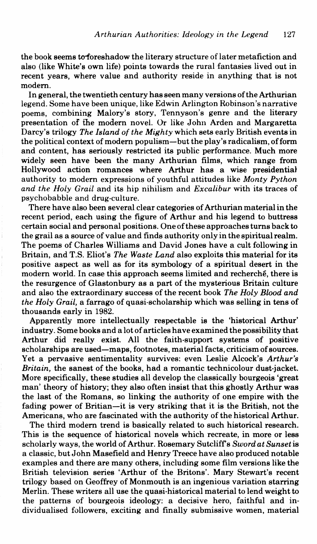the book seems to foreshadow the literary structure of later metafiction and also (like White's own life) points towards the rural fantasies lived out in recent years, where value and authority reside in anything that is not modem.

In general, the twentieth century has seen many versions ofthe Arthurian legend. Some have been unique, like Edwin Arlington Robinson's narrative poems, combining Malory's story, Tennyson's genre and the literary presentation of fhe modern novel. Or like John Arden and Margaretta Darcy's trilogy *The Island of the Mighty* which sets early British events in the political context of modem populism-but the play's radicalism, of form and content, has seriously restricted its public performance. Much more widely seen have been the many Arthurian films, which range from Hollywood action romances where Arthur has a wise presidential authority to modern expressions of youthful attitudes like *Monty Python and the Holy Grail* and its hip nihilism and *Excalibur* with its traces of psychobabble and drug-culture.

There have also been several clear categories of Arthurian material in the recent period, each using the figure of Arthur and his legend to buttress certain social and personal positions. One of these approaches turns back to the grail as a source of value and finds authority only in the spiritual realm. The poems of Charles Williams and David Jones have a cult following in Britain, and T.S. Eliot's *The Waste Land* also exploits this material for its positive aspect as well as for its symbology of a spiritual desert in the modern world. In case this approach seems limited and recherche, there is the resurgence of Glastonbury as a part of the mysterious Britain culture and also the extraordinary success of the recent book *The Holy Blood and the Holy Grail,* a farrago of quasi-scholarship which was selling in tens of thousands early in 1982.

Apparently more intellectually respectable is the 'historical Arthur' industry. Some books and a lot of articles have examined the possibility that Arthur did really exist. All the faith-support systems of positive scholarships are used-maps, footnotes, material facts, criticism of sources. Yet a pervasive sentimentality survives: even Leslie Alcock's *Arthur's Britain,* the sanest of the books, had a romantic technicolour dust-jacket. More specifically, these studies all develop the classically bourgeois 'great man' theory of history; they also often insist that this ghostly Arthur was the last of the Romans, so linking the authority of one empire with the fading power of Britian-it is very striking that it is the British, not the Americans, who are fascinated with the authority of the historical Arthur.

The third modem trend is basically related to such historical research. This is the sequence of historical novels which recreate, in more or less scholarly ways, the world of Arthur. Rosemary Sutcliffs *Sword at Sunset* is a classic, but John Masefield and Henry Treece have also produced notable examples and there are many others, including some film versions like the British television series 'Arthur of the Britons'. Mary Stewart's recent trilogy based on Geoffrey of Monmouth is an ingenious variation starring Merlin. These writers all use the quasi-historical material to lend weight to the patterns of bourgeois ideology: a decisive hero, faithful and individualised followers, exciting and finally submissive women, material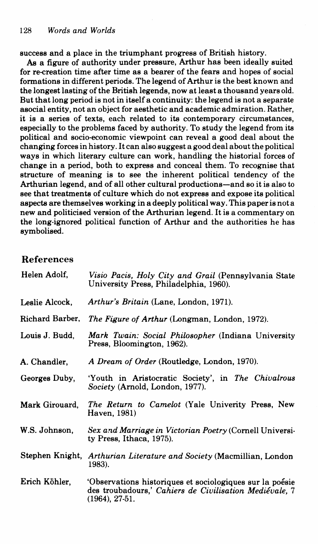success and a place in the triumphant progress of British history.

As a figure of authority under pressure, Arthur has been ideally suited for re-creation time after time as a bearer of the fears and hopes of social formations in different periods. The legend of Arthur is the best known and the longest lasting of the British legends, now at least a thousand years old. But that long period is not in itself a continuity: the legend is not a separate asocial entity, not an object for aesthetic and academic admiration. Rather, it is a series of texts, each related to its contemporary circumstances, especially to the problems faced by authority. To study the legend from its political and socio-economic viewpoint can reveal a good deal about the changing forces in history. It can also suggest a good deal about the political ways in which literary culture can work, handling the historial forces of change in a period, both to express and conceal them. To recognise that structure of meaning is to see the inherent political tendency of the Arthurian legend, and of all other cultural productions-and so it is also to see that treatments of culture which do not express and expose its political aspects are themselves working in a deeply political way. This paper is not a new and politicised version of the Arthurian legend. It is a commentary on the long-ignored political function of Arthur and the authorities he has symbolised.

## References

| Helen Adolf.    | Visio Pacis, Holy City and Grail (Pennsylvania State)<br>University Press, Philadelphia, 1960).                                      |
|-----------------|--------------------------------------------------------------------------------------------------------------------------------------|
| Leslie Alcock.  | Arthur's Britain (Lane, London, 1971).                                                                                               |
| Richard Barber, | The Figure of Arthur (Longman, London, 1972).                                                                                        |
| Louis J. Budd,  | Mark Twain: Social Philosopher (Indiana University<br>Press, Bloomington, 1962).                                                     |
| A. Chandler.    | A Dream of Order (Routledge, London, 1970).                                                                                          |
| Georges Duby,   | 'Youth in Aristocratic Society', in The Chivalrous<br>Society (Arnold, London, 1977).                                                |
| Mark Girouard,  | The Return to Camelot (Yale Univerity Press, New<br>Haven, 1981)                                                                     |
| W.S. Johnson,   | Sex and Marriage in Victorian Poetry (Cornell Universi-<br>ty Press, Ithaca, 1975).                                                  |
|                 | Stephen Knight, Arthurian Literature and Society (Macmillian, London<br>1983).                                                       |
| Erich Köhler,   | 'Observations historiques et sociologiques sur la poésie<br>des troubadours,' Cahiers de Civilisation Mediévale, 7<br>(1964), 27-51. |